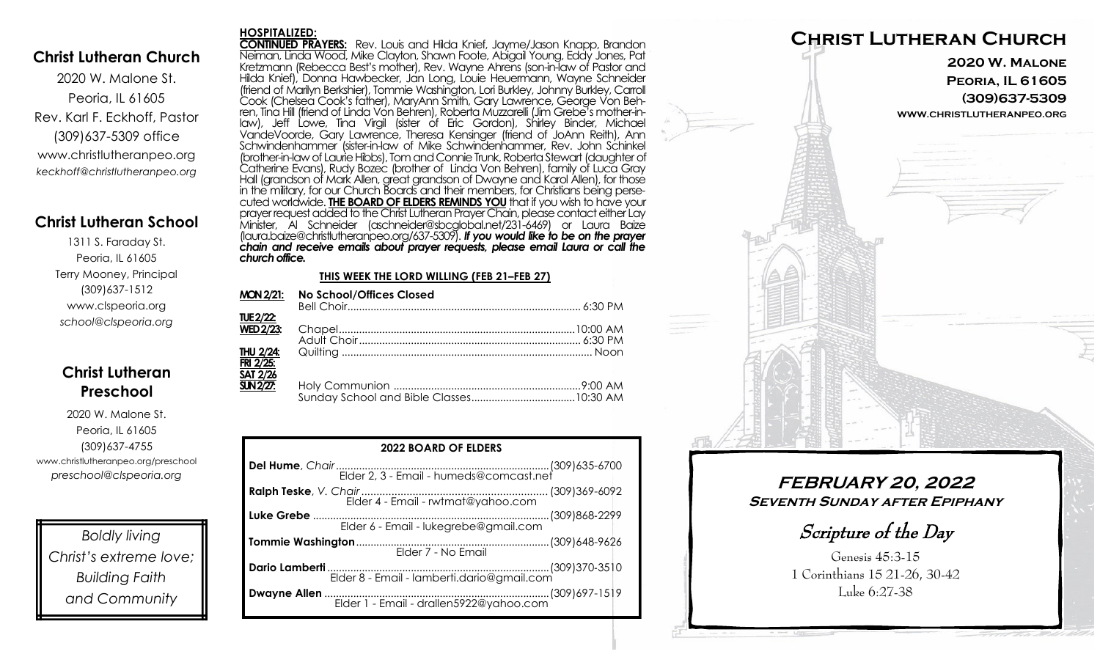## **Christ Lutheran Church**

2020 W. Malone St. Peoria, IL 61605 Rev. Karl F. Eckhoff, Pastor (309)637-5309 office www.christlutheranpeo.org *keckhoff@christlutheranpeo.org*

## **Christ Lutheran School**

1311 S. Faraday St. Peoria, IL 61605 Terry Mooney, Principal (309)637-1512 www.clspeoria.org *school@clspeoria.org*

# **Christ Lutheran Preschool**

2020 W. Malone St. Peoria, IL 61605 (309)637-4755 www.christlutheranpeo.org/preschool *preschool@clspeoria.org*

*Boldly living Christ's extreme love; Building Faith and Community*

#### **HOSPITALIZED:**

**CONTINUED PRAYERS:** Rev. Louis and Hilda Knief, Jayme/Jason Knapp, Brandon Neiman, Linda Wood, Mike Clayton, Shawn Foote, Abigail Young, Eddy Jones, Pat Kretzmann (Rebecca Best's mother), Rev. Wayne Ahrens (son-in-law of Pastor and Hilda Knief), Donna Hawbecker, Jan Long, Louie Heuermann, Wayne Schneider (friend of Marilyn Berkshier), Tommie Washington, Lori Burkley, Johnny Burkley, Carroll Cook (Chelsea Cook's father), MaryAnn Smith, Gary Lawrence, George Von Behren, Tina Hill (friend of Linda Von Behren), Roberta Muzzarelli (Jim Grebe's mother-inlaw), Jeff Lowe, Tina Virgil (sister of Eric Gordon), Shirley Binder, Michael VandeVoorde, Gary Lawrence, Theresa Kensinger (friend of JoAnn Reith), Ann Schwindenhammer (sister-in-law of Mike Schwindenhammer, Rev. John Schinkel (brother-in-law of Laurie Hibbs), Tom and Connie Trunk, Roberta Stewart (daughter of Catherine Evans), Rudy Bozec (brother of Linda Von Behren), family of Luca Gray Hall (grandson of Mark Allen, great grandson of Dwayne and Karol Allen), for those in the military, for our Church Boards and their members, for Christians being persecuted worldwide. **THE BOARD OF ELDERS REMINDS YOU** that if you wish to have your prayer request added to the Christ Lutheran Prayer Chain, please contact either Lay Minister, Al Schneider (aschneider@sbcglobal.net/231-6469) or Laura Baize (laura.baize@christlutheranpeo.org/637-5309). *If you would like to be on the prayer chain and receive emails about prayer requests, please email Laura or call the church office.*

#### **THIS WEEK THE LORD WILLING (FEB 21–FEB 27)**

| <b>MON 2/21:</b>               | <b>No School/Offices Closed</b> |
|--------------------------------|---------------------------------|
| TUE 2/22:                      |                                 |
| $\overline{\text{WED 2}}/23$ : |                                 |
|                                |                                 |
| THU 2/24:                      |                                 |
| FRI 2/25:                      |                                 |
| <b>SAT 2/26</b>                |                                 |
| <b>SUN 2/27:</b>               |                                 |
|                                |                                 |

| <b>2022 BOARD OF ELDERS</b>                |  |  |  |
|--------------------------------------------|--|--|--|
|                                            |  |  |  |
| Elder 4 - Email - rwtmat@yahoo.com         |  |  |  |
| Elder 6 - Email - lukegrebe@gmail.com      |  |  |  |
| Elder 7 - No Email                         |  |  |  |
| Elder 8 - Email - lamberti.dario@gmail.com |  |  |  |
|                                            |  |  |  |



# **FEBRUARY 20, 2022 Seventh Sunday after Epiphany**

Scripture of the Day

Genesis 45:3-15 1 Corinthians 15 21-26, 30-42 Luke 6:27-38